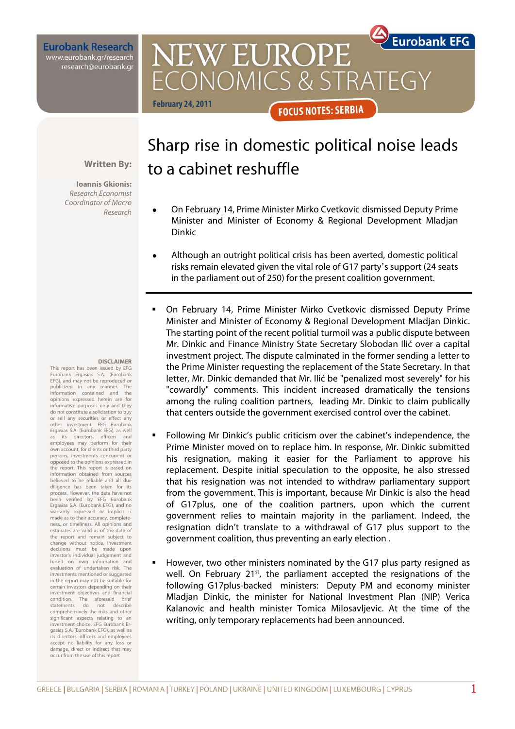**Eurobank Research** www.eurobank.gr/research research@eurobank.gr

> Sharp rise in domestic political noise leads to a cabinet reshuffle

**FOCUS NOTES: SERBIA** 

CONOMICS & STRATEGY

**NEW EUROPE** 

**Eurobank EFG** 

## **Written By:**

**February 24, 2011**

Dinkic

**Ioannis Gkionis:**  Research Economist Coordinator of Macro Research

#### **DISCLAIMER**

This report has been issued by EFG Eurobank Ergasias S.A. (Eurobank EFG), and may not be reproduced or publicized in any manner. The information contained and the opinions expressed herein are for informative purposes only and they do not constitute a solicitation to buy or sell any securities or effect any other investment. EFG Eurobank Ergasias S.A. (Eurobank EFG), as well its directors, officers and as its directors, officers and<br>employees may perform for their own account, for clients or third party persons, investments concurrent or opposed to the opinions expressed in the report. This report is based on information obtained from sources believed to be reliable and all due diligence has been taken for its process. However, the data have not been verified by EFG Eurobank Ergasias S.A. (Eurobank EFG), and no warranty expressed or implicit is made as to their accuracy, completeness, or timeliness. All opinions and estimates are valid as of the date of the report and remain subject to change without notice. Investment decisions must be made upon investor's individual judgement and based on own information and evaluation of undertaken risk. The investments mentioned or suggested in the report may not be suitable for certain investors depending on their investment objectives and financial condition. The aforesaid brief statements do not describe comprehensively the risks and other significant aspects relating to an investment choice. EFG Eurobank Ergasias S.A. (Eurobank EFG), as well as its directors, officers and employees accept no liability for any loss or damage, direct or indirect that may occur from the use of this report

- On February 14, Prime Minister Mirko Cvetkovic dismissed Deputy Prime Minister and Minister of Economy & Regional Development Mladjan
- Although an outright political crisis has been averted, domestic political risks remain elevated given the vital role of G17 party's support (24 seats in the parliament out of 250) for the present coalition government.
- On February 14, Prime Minister Mirko Cvetkovic dismissed Deputy Prime Minister and Minister of Economy & Regional Development Mladjan Dinkic. The starting point of the recent politial turmoil was a public dispute between Mr. Dinkic and Finance Ministry State Secretary Slobodan Ilić over a capital investment project. The dispute calminated in the former sending a letter to the Prime Minister requesting the replacement of the State Secretary. In that letter, Mr. Dinkic demanded that Mr. Ilić be "penalized most severely" for his "cowardly" comments. This incident increased dramatically the tensions among the ruling coalition partners, leading Mr. Dinkic to claim publically that centers outside the government exercised control over the cabinet.
- Following Mr Dinkic's public criticism over the cabinet's independence, the Prime Minister moved on to replace him. In response, Mr. Dinkic submitted his resignation, making it easier for the Parliament to approve his replacement. Despite initial speculation to the opposite, he also stressed that his resignation was not intended to withdraw parliamentary support from the government. This is important, because Mr Dinkic is also the head of G17plus, one of the coalition partners, upon which the current government relies to maintain majority in the parliament. Indeed, the resignation didn't translate to a withdrawal of G17 plus support to the government coalition, thus preventing an early election .
- However, two other ministers nominated by the G17 plus party resigned as well. On February 21<sup>st</sup>, the parliament accepted the resignations of the following G17plus-backed ministers: Deputy PM and economy minister Mladjan Dinkic, the minister for National Investment Plan (NIP) Verica Kalanovic and health minister Tomica Milosavljevic. At the time of the writing, only temporary replacements had been announced.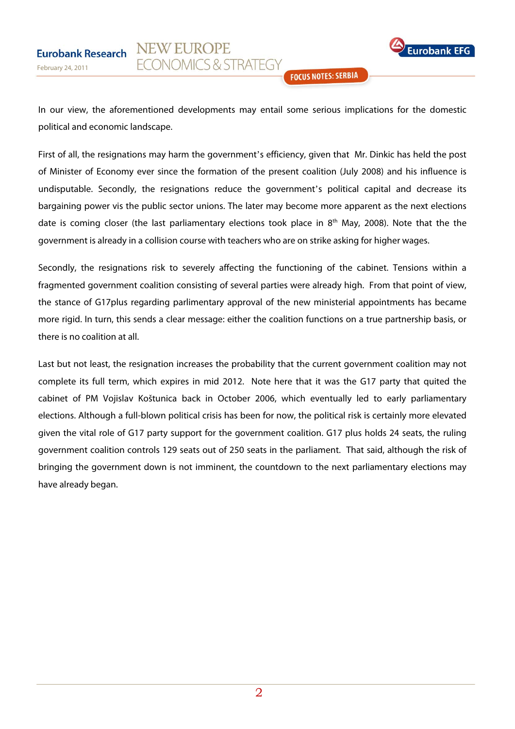

**FOCUS NOTES: SERBIA** 

In our view, the aforementioned developments may entail some serious implications for the domestic political and economic landscape.

**NEW EUROPE** 

**FCONOMICS & STRATEGY** 

First of all, the resignations may harm the government's efficiency, given that Mr. Dinkic has held the post of Minister of Economy ever since the formation of the present coalition (July 2008) and his influence is undisputable. Secondly, the resignations reduce the government's political capital and decrease its bargaining power vis the public sector unions. The later may become more apparent as the next elections date is coming closer (the last parliamentary elections took place in 8<sup>th</sup> May, 2008). Note that the the government is already in a collision course with teachers who are on strike asking for higher wages.

Secondly, the resignations risk to severely affecting the functioning of the cabinet. Tensions within a fragmented government coalition consisting of several parties were already high. From that point of view, the stance of G17plus regarding parlimentary approval of the new ministerial appointments has became more rigid. In turn, this sends a clear message: either the coalition functions on a true partnership basis, or there is no coalition at all.

Last but not least, the resignation increases the probability that the current government coalition may not complete its full term, which expires in mid 2012. Note here that it was the G17 party that quited the cabinet of PM Vojislav Koštunica back in October 2006, which eventually led to early parliamentary elections. Although a full-blown political crisis has been for now, the political risk is certainly more elevated given the vital role of G17 party support for the government coalition. G17 plus holds 24 seats, the ruling government coalition controls 129 seats out of 250 seats in the parliament. That said, although the risk of bringing the government down is not imminent, the countdown to the next parliamentary elections may have already began.